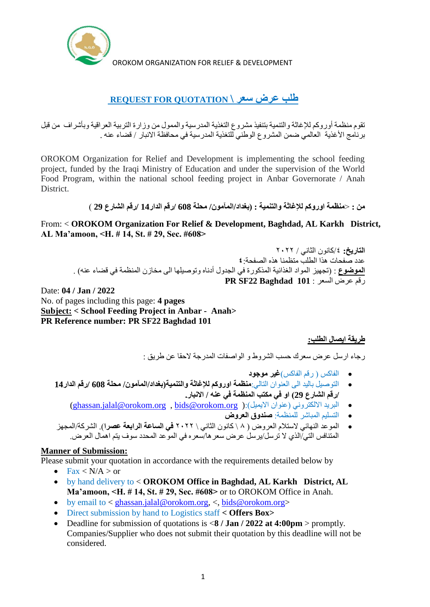

OROKOM ORGANIZATION FOR RELIEF & DEVELOPMENT

# **طلب عرض سعر \ QUOTATION FOR REQUEST**

تقوم منظمة أوروكم لإلغاثة والتنمية بتنفيذ مشروع التغذية المدرسية والممول من وزارة التربية العراقية وبأشراف من قبل برنامج الأغذية العالمي ضمن المشروع الوطني للتغذية المدرسية في محافظة الانبار / قضاء عنه .

OROKOM Organization for Relief and Development is implementing the school feeding project, funded by the Iraqi Ministry of Education and under the supervision of the World Food Program, within the national school feeding project in Anbar Governorate / Anah **District** 

**من :** >**منظمة اوروكم لإلغاثة والتنمية : )بغداد/المآمون/ محلة 608 /رقم الدار14 /رقم الشارع 29** (

From: < **OROKOM Organization For Relief & Development, Baghdad, AL Karkh District, AL Ma'amoon, <H. # 14, St. # 29, Sec. #608>**

ا**لتاريخ:** ٤/كانون الثان*ي / ٢*٠٢٢ عدد صفحات هذا الطلب متظمنا هذه الصفحة**٤**: **الموضوع** : )تجهيز المواد الغذائية المذكورة في الجدول أدناه وتوصيلها الى مخازن المنظمة في قضاء عنه( . رقم عرض السعر : **101 Baghdad 22SF PR**

Date: **04 / Jan / 2022** No. of pages including this page: **4 pages Subject: < School Feeding Project in Anbar - Anah> PR Reference number: PR SF22 Baghdad 101**

## **طريقة ايصال الطلب:**

رجاء ارسل عرض سعرك حسب الشروط و الواصفات المدرجة الحقا عن طريق :

- الفاكس ) رقم الفاكس(**غير موجود**
- التوصيل باليد الى العنوان التالي:**منظمة اوروكم لإلغاثة والتنمية)بغداد/المآمون/ محلة 608 /رقم الدار14 /رقم الشارع 29( او في مكتب المنظمة في عنه / االنبار.**
	- [\(ghassan.jalal@orokom.org](mailto:ghassan.jalal@orokom.org) , [bids@orokom.org](mailto:bids@orokom.org) ):)االيميل عنوان )االلكتروني البريد
		- التسليم المباشر للمنظمة: **صندوق العروض**
- الموعد النهائي الستالم العروض ) ٨ \ كانون الثاني \ ٢٠٢٢ **في الساعة الرابعة عصرا**(. الشركة/المجهز المتنافس التي/الذي لا ترسل/يرسل عرض سعر ها/سعر ه في الموعد المحدد سوف يتم اهمال العرض.

#### **Manner of Submission:**

Please submit your quotation in accordance with the requirements detailed below by

- Fax  $\langle N/A \rangle$  or
- by hand delivery to < **OROKOM Office in Baghdad, AL Karkh District, AL Ma'amoon, <H. # 14, St. # 29, Sec. #608>** or to OROKOM Office in Anah.
- $\bullet$  by email to < [ghassan.jalal@orokom.org,](mailto:ghassan.jalal@orokom.org) <, [bids@orokom.org>](mailto:bids@orokom.org)
- Direct submission by hand to Logistics staff **< Offers Box>**
- Deadline for submission of quotations is <**8 / Jan / 2022 at 4:00pm** > promptly. Companies/Supplier who does not submit their quotation by this deadline will not be considered.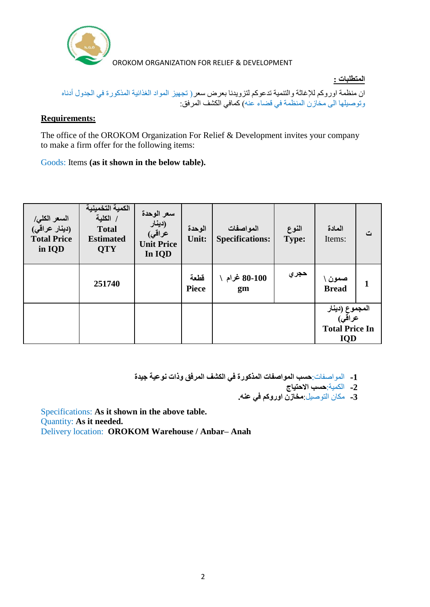

**المتطلبات :**

ان منظمة اوروكم لإلغاثة والتنمية تدعوكم لتزويدنا بعرض سعر) تجهيز المواد الغذائية المذكورة في الجدول أدناه وتوصيلها الى مخازن المنظمة في قضاء عنه) كمافي الكشف المرفق:

#### **Requirements:**

The office of the OROKOM Organization For Relief & Development invites your company to make a firm offer for the following items:

Goods: Items **(as it shown in the below table).**

| السعر الكل <i>ي </i><br>(دينار عراقي)<br><b>Total Price</b><br>in IQD | الكمية التخمينية<br>/ الكلية<br><b>Total</b><br><b>Estimated</b><br><b>QTY</b> | سعر الوحدة<br>(دينار<br>عراق <i>ي</i> )<br><b>Unit Price</b><br>In IQD | الوحدة<br>Unit:      | المواصفات<br><b>Specifications:</b> | النوع<br>Type: | المادة<br>Items:                                                         | ت            |
|-----------------------------------------------------------------------|--------------------------------------------------------------------------------|------------------------------------------------------------------------|----------------------|-------------------------------------|----------------|--------------------------------------------------------------------------|--------------|
|                                                                       | 251740                                                                         |                                                                        | قطعة<br><b>Piece</b> | 80-100 غرام<br>gm                   | حجري           | صمون \<br><b>Bread</b>                                                   | $\mathbf{1}$ |
|                                                                       |                                                                                |                                                                        |                      |                                     |                | المجموع (دينار<br>عراق <i>ي</i> )<br><b>Total Price In</b><br><b>IQD</b> |              |

**-1** المواصفات:**حسب المواصفات المذكورة في الكشف المرفق وذات نوعية جيدة**

**-2** الكمية:**حسب االحتياج**

**-3** مكان التوصيل:**مخازن اوروكم في عنه.**

Specifications: **As it shown in the above table.** Quantity: **As it needed.**  Delivery location: **OROKOM Warehouse / Anbar– Anah**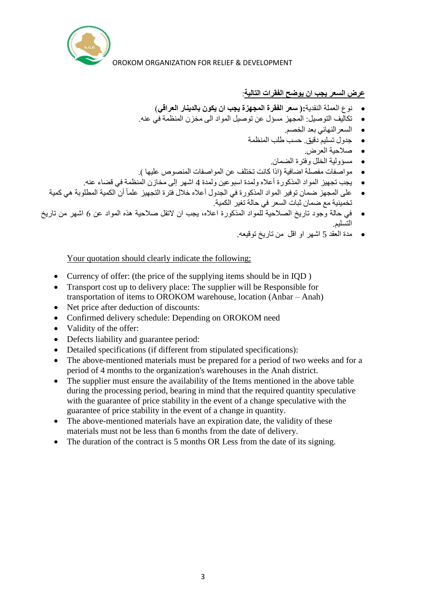

#### **عرض السعر يجب ان يوضح الفقرات التالية**:

- نوع العملة النقدية**:) سعر الفقرة المجهزة يجب ان يكون بالدينار العراقي**(
- تكاليف التوصيل: المجهز مسؤل عن توصيل المواد الى مخزن المنظمة في عنه.
	- السعرالنهائي بعد الخصم.
	- جدول تسليم دقيق. حسب طلب المنظمة
		- صالحية العرض.
		- مسؤولية الخلل وفترة الضمان.
- مواصفات مفصلة اضافية )اذا كانت تختلف عن المواصفات المنصوص عليها (.
- يجب تجهيز المواد المذكورة أعاله ولمدة اسبوعين ولمدة 4 اشهر إلى مخازن المنظمة في قضاء عنه.
- أن الكمية المطلوبة هي كمية على المجهز ضمان توفير المواد المذكورة في الجدول أعاله خالل فترة التجهيز علماً تخمينية مع ضمان ثبات السعر في حالة تغير الكمية.
- في حالة وجود تاريخ الصالحية للمواد المذكورة اعاله، يجب ان التقل صالحية هذه المواد عن 6 اشهر من تاريخ التسليم.
	- مدة العقد 5 اشهر او اقل من تاريخ توقيعه.

Your quotation should clearly indicate the following;

- Currency of offer: (the price of the supplying items should be in IQD )
- Transport cost up to delivery place: The supplier will be Responsible for transportation of items to OROKOM warehouse, location (Anbar – Anah)
- Net price after deduction of discounts:
- Confirmed delivery schedule: Depending on OROKOM need
- Validity of the offer:
- Defects liability and guarantee period:
- Detailed specifications (if different from stipulated specifications):
- The above-mentioned materials must be prepared for a period of two weeks and for a period of 4 months to the organization's warehouses in the Anah district.
- The supplier must ensure the availability of the Items mentioned in the above table during the processing period, bearing in mind that the required quantity speculative with the guarantee of price stability in the event of a change speculative with the guarantee of price stability in the event of a change in quantity.
- The above-mentioned materials have an expiration date, the validity of these materials must not be less than 6 months from the date of delivery.
- The duration of the contract is 5 months OR Less from the date of its signing.